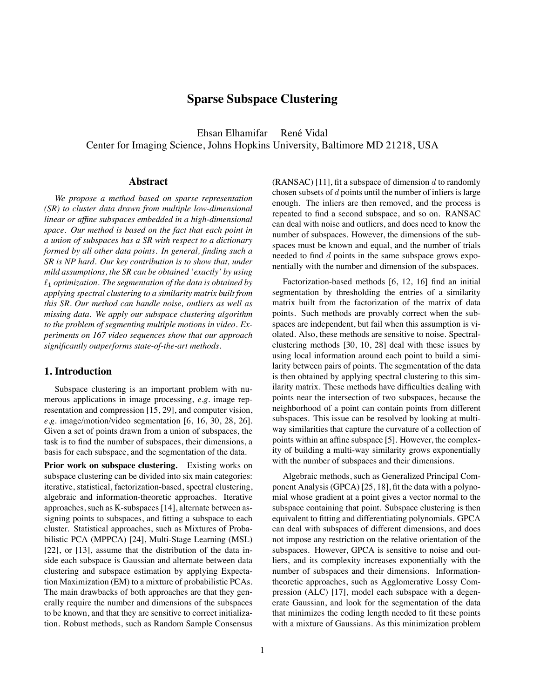# **Sparse Subspace Clustering**

Ehsan Elhamifar René Vidal Center for Imaging Science, Johns Hopkins University, Baltimore MD 21218, USA

### **Abstract**

*We propose a method based on sparse representation (SR) to cluster data drawn from multiple low-dimensional linear or affine subspaces embedded in a high-dimensional space. Our method is based on the fact that each point in a union of subspaces has a SR with respect to a dictionary formed by all other data points. In general, finding such a SR is NP hard. Our key contribution is to show that, under mild assumptions, the SR can be obtained 'exactly' by using*  $\ell_1$  *optimization. The segmentation of the data is obtained by applying spectral clustering to a similarity matrix built from this SR. Our method can handle noise, outliers as well as missing data. We apply our subspace clustering algorithm to the problem of segmenting multiple motions in video. Experiments on 167 video sequences show that our approach significantly outperforms state-of-the-art methods.*

## **1. Introduction**

Subspace clustering is an important problem with numerous applications in image processing, *e.g*. image representation and compression [15, 29], and computer vision, *e.g*. image/motion/video segmentation [6, 16, 30, 28, 26]. Given a set of points drawn from a union of subspaces, the task is to find the number of subspaces, their dimensions, a basis for each subspace, and the segmentation of the data.

Prior work on subspace clustering. Existing works on subspace clustering can be divided into six main categories: iterative, statistical, factorization-based, spectral clustering, algebraic and information-theoretic approaches. Iterative approaches, such as K-subspaces [14], alternate between assigning points to subspaces, and fitting a subspace to each cluster. Statistical approaches, such as Mixtures of Probabilistic PCA (MPPCA) [24], Multi-Stage Learning (MSL) [22], or [13], assume that the distribution of the data inside each subspace is Gaussian and alternate between data clustering and subspace estimation by applying Expectation Maximization (EM) to a mixture of probabilistic PCAs. The main drawbacks of both approaches are that they generally require the number and dimensions of the subspaces to be known, and that they are sensitive to correct initialization. Robust methods, such as Random Sample Consensus (RANSAC) [11], fit a subspace of dimension *d* to randomly chosen subsets of *d* points until the number of inliers is large enough. The inliers are then removed, and the process is repeated to find a second subspace, and so on. RANSAC can deal with noise and outliers, and does need to know the number of subspaces. However, the dimensions of the subspaces must be known and equal, and the number of trials needed to find *d* points in the same subspace grows exponentially with the number and dimension of the subspaces.

Factorization-based methods [6, 12, 16] find an initial segmentation by thresholding the entries of a similarity matrix built from the factorization of the matrix of data points. Such methods are provably correct when the subspaces are independent, but fail when this assumption is violated. Also, these methods are sensitive to noise. Spectralclustering methods [30, 10, 28] deal with these issues by using local information around each point to build a similarity between pairs of points. The segmentation of the data is then obtained by applying spectral clustering to this similarity matrix. These methods have difficulties dealing with points near the intersection of two subspaces, because the neighborhood of a point can contain points from different subspaces. This issue can be resolved by looking at multiway similarities that capture the curvature of a collection of points within an affine subspace [5]. However, the complexity of building a multi-way similarity grows exponentially with the number of subspaces and their dimensions.

Algebraic methods, such as Generalized Principal Component Analysis (GPCA) [25, 18], fit the data with a polynomial whose gradient at a point gives a vector normal to the subspace containing that point. Subspace clustering is then equivalent to fitting and differentiating polynomials. GPCA can deal with subspaces of different dimensions, and does not impose any restriction on the relative orientation of the subspaces. However, GPCA is sensitive to noise and outliers, and its complexity increases exponentially with the number of subspaces and their dimensions. Informationtheoretic approaches, such as Agglomerative Lossy Compression (ALC) [17], model each subspace with a degenerate Gaussian, and look for the segmentation of the data that minimizes the coding length needed to fit these points with a mixture of Gaussians. As this minimization problem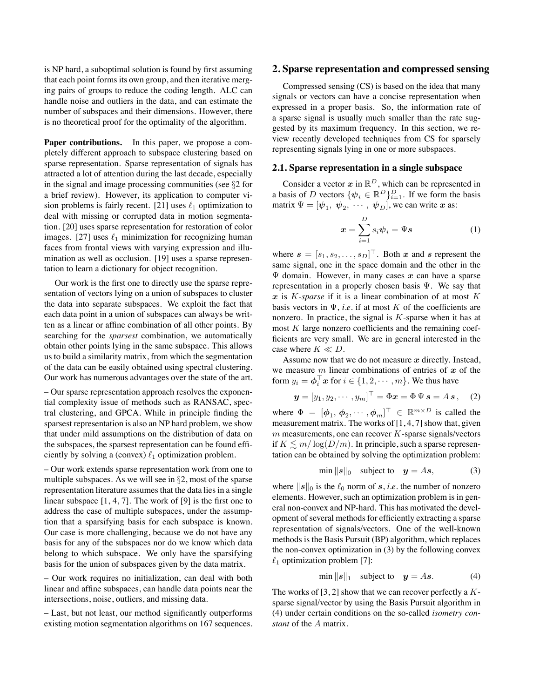is NP hard, a suboptimal solution is found by first assuming that each point forms its own group, and then iterative merging pairs of groups to reduce the coding length. ALC can handle noise and outliers in the data, and can estimate the number of subspaces and their dimensions. However, there is no theoretical proof for the optimality of the algorithm.

**Paper contributions.** In this paper, we propose a completely different approach to subspace clustering based on sparse representation. Sparse representation of signals has attracted a lot of attention during the last decade, especially in the signal and image processing communities (see *§*2 for a brief review). However, its application to computer vision problems is fairly recent. [21] uses  $\ell_1$  optimization to deal with missing or corrupted data in motion segmentation. [20] uses sparse representation for restoration of color images. [27] uses  $\ell_1$  minimization for recognizing human faces from frontal views with varying expression and illumination as well as occlusion. [19] uses a sparse representation to learn a dictionary for object recognition.

Our work is the first one to directly use the sparse representation of vectors lying on a union of subspaces to cluster the data into separate subspaces. We exploit the fact that each data point in a union of subspaces can always be written as a linear or affine combination of all other points. By searching for the *sparsest* combination, we automatically obtain other points lying in the same subspace. This allows us to build a similarity matrix, from which the segmentation of the data can be easily obtained using spectral clustering. Our work has numerous advantages over the state of the art.

– Our sparse representation approach resolves the exponential complexity issue of methods such as RANSAC, spectral clustering, and GPCA. While in principle finding the sparsest representation is also an NP hard problem, we show that under mild assumptions on the distribution of data on the subspaces, the sparsest representation can be found efficiently by solving a (convex)  $\ell_1$  optimization problem.

– Our work extends sparse representation work from one to multiple subspaces. As we will see in *§*2, most of the sparse representation literature assumes that the data lies in a single linear subspace [1, 4, 7]. The work of [9] is the first one to address the case of multiple subspaces, under the assumption that a sparsifying basis for each subspace is known. Our case is more challenging, because we do not have any basis for any of the subspaces nor do we know which data belong to which subspace. We only have the sparsifying basis for the union of subspaces given by the data matrix.

– Our work requires no initialization, can deal with both linear and affine subspaces, can handle data points near the intersections, noise, outliers, and missing data.

– Last, but not least, our method significantly outperforms existing motion segmentation algorithms on 167 sequences.

# **2. Sparse representation and compressed sensing**

Compressed sensing (CS) is based on the idea that many signals or vectors can have a concise representation when expressed in a proper basis. So, the information rate of a sparse signal is usually much smaller than the rate suggested by its maximum frequency. In this section, we review recently developed techniques from CS for sparsely representing signals lying in one or more subspaces.

#### **2.1. Sparse representation in a single subspace**

Consider a vector  $x$  in  $\mathbb{R}^D$ , which can be represented in a basis of *D* vectors  $\{\psi_i \in \mathbb{R}^D\}_{i=1}^D$ . If we form the basis matrix  $\Psi = [\psi_1, \psi_2, \cdots, \psi_D]$ , we can write *x* as:

$$
\boldsymbol{x} = \sum_{i=1}^{D} s_i \boldsymbol{\psi}_i = \boldsymbol{\Psi}\boldsymbol{s}
$$
 (1)

where  $s = [s_1, s_2, \dots, s_D]$ <sup> $\perp$ </sup>. Both *x* and *s* represent the same signal, one in the space domain and the other in the Ψ domain. However, in many cases *x* can have a sparse representation in a properly chosen basis  $\Psi$ . We say that *x* is *K-sparse* if it is a linear combination of at most *K* basis vectors in  $\Psi$ , *i.e.* if at most K of the coefficients are nonzero. In practice, the signal is *K*-sparse when it has at most *K* large nonzero coefficients and the remaining coefficients are very small. We are in general interested in the case where  $K \ll D$ .

Assume now that we do not measure *x* directly. Instead, we measure *m* linear combinations of entries of *x* of the form  $y_i = \phi_i^{\top} x$  for  $i \in \{1, 2, \cdots, m\}$ . We thus have

$$
\boldsymbol{y} = [y_1, y_2, \cdots, y_m]^\top = \boldsymbol{\Phi} \boldsymbol{x} = \boldsymbol{\Phi} \boldsymbol{\Psi} \boldsymbol{s} = A \boldsymbol{s}, \quad (2)
$$

where  $\Phi = [\phi_1, \phi_2, \cdots, \phi_m]^\top \in \mathbb{R}^{m \times D}$  is called the measurement matrix. The works of  $[1, 4, 7]$  show that, given *m* measurements, one can recover *K*-sparse signals/vectors if  $K \leq m/\log(D/m)$ . In principle, such a sparse representation can be obtained by solving the optimization problem:

$$
\min \|s\|_0 \quad \text{subject to} \quad y = As,\tag{3}
$$

where  $\|\boldsymbol{s}\|_0$  is the  $\ell_0$  norm of *s*, *i.e.* the number of nonzero elements. However, such an optimization problem is in general non-convex and NP-hard. This has motivated the development of several methods for efficiently extracting a sparse representation of signals/vectors. One of the well-known methods is the Basis Pursuit (BP) algorithm, which replaces the non-convex optimization in (3) by the following convex  $\ell_1$  optimization problem [7]:

$$
\min \|s\|_1 \quad \text{subject to} \quad y = As. \tag{4}
$$

The works of [3, 2] show that we can recover perfectly a *K*sparse signal/vector by using the Basis Pursuit algorithm in (4) under certain conditions on the so-called *isometry constant* of the *A* matrix.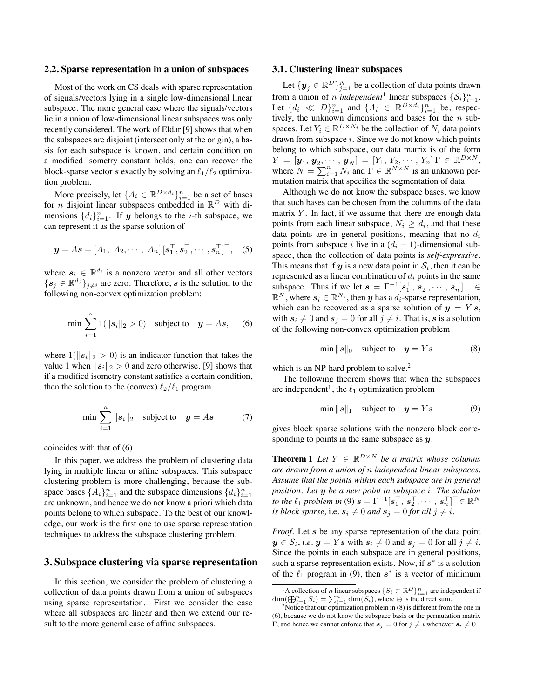#### **2.2. Sparse representation in a union of subspaces**

Most of the work on CS deals with sparse representation of signals/vectors lying in a single low-dimensional linear subspace. The more general case where the signals/vectors lie in a union of low-dimensional linear subspaces was only recently considered. The work of Eldar [9] shows that when the subspaces are disjoint (intersect only at the origin), a basis for each subspace is known, and certain condition on a modified isometry constant holds, one can recover the block-sparse vector *s* exactly by solving an  $\ell_1/\ell_2$  optimization problem.

More precisely, let  $\{A_i \in \mathbb{R}^{D \times d_i}\}_{i=1}^n$  be a set of bases for *n* disjoint linear subspaces embedded in  $\mathbb{R}^D$  with dimensions  $\{d_i\}_{i=1}^n$ . If *y* belongs to the *i*-th subspace, we can represent it as the sparse solution of

$$
\mathbf{y} = A\mathbf{s} = [A_1, A_2, \cdots, A_n] [\mathbf{s}_1^\top, \mathbf{s}_2^\top, \cdots, \mathbf{s}_n^\top]^\top, \quad (5)
$$

where  $s_i \in \mathbb{R}^{d_i}$  is a nonzero vector and all other vectors  ${s_i \in \mathbb{R}^{d_j}}$  *i*  $\neq i$  are zero. Therefore, *s* is the solution to the following non-convex optimization problem:

min 
$$
\sum_{i=1}^{n} 1(||s_i||_2 > 0)
$$
 subject to  $y = As$ , (6)

where  $1(||s_i||_2 > 0)$  is an indicator function that takes the value 1 when  $||s_i||_2 > 0$  and zero otherwise. [9] shows that if a modified isometry constant satisfies a certain condition, then the solution to the (convex)  $\ell_2/\ell_1$  program

$$
\min \sum_{i=1}^{n} ||s_i||_2 \quad \text{subject to} \quad y = As \tag{7}
$$

coincides with that of (6).

In this paper, we address the problem of clustering data lying in multiple linear or affine subspaces. This subspace clustering problem is more challenging, because the subspace bases  $\{A_i\}_{i=1}^n$  and the subspace dimensions  $\{d_i\}_{i=1}^n$ are unknown, and hence we do not know a priori which data points belong to which subspace. To the best of our knowledge, our work is the first one to use sparse representation techniques to address the subspace clustering problem.

### **3. Subspace clustering via sparse representation**

In this section, we consider the problem of clustering a collection of data points drawn from a union of subspaces using sparse representation. First we consider the case where all subspaces are linear and then we extend our result to the more general case of affine subspaces.

#### **3.1. Clustering linear subspaces**

Let  $\{\boldsymbol{y}_j \in \mathbb{R}^D\}_{j=1}^N$  be a collection of data points drawn from a union of *n independent*<sup>1</sup> linear subspaces  $\{S_i\}_{i=1}^n$ . Let  $\{d_i \ll D\}_{i=1}^n$  and  $\{A_i \in \mathbb{R}^{D \times d_i}\}_{i=1}^n$  be, respectively, the unknown dimensions and bases for the *n* subspaces. Let  $Y_i \in \mathbb{R}^{D \times N_i}$  be the collection of  $N_i$  data points drawn from subspace *i*. Since we do not know which points belong to which subspace, our data matrix is of the form  $Y = [\mathbf{y}_1, \mathbf{y}_2, \cdots, \mathbf{y}_N] = [Y_1, Y_2, \cdots, Y_n] \Gamma \in \mathbb{R}^{D \times N},$ where  $N = \sum_{i=1}^{n} N_i$  and  $\Gamma \in \mathbb{R}^{N \times N}$  is an unknown permutation matrix that specifies the segmentation of data.

Although we do not know the subspace bases, we know that such bases can be chosen from the columns of the data matrix *Y* . In fact, if we assume that there are enough data points from each linear subspace,  $N_i \geq d_i$ , and that these data points are in general positions, meaning that no *d<sup>i</sup>* points from subspace *i* live in a  $(d_i - 1)$ -dimensional subspace, then the collection of data points is *self-expressive*. This means that if  $y$  is a new data point in  $S_i$ , then it can be represented as a linear combination of  $d_i$  points in the same subspace. Thus if we let  $s = \Gamma^{-1}[s_1^\top, s_2^\top, \cdots, s_n^\top]^\top \in$  $\mathbb{R}^N$ , where  $s_i \in \mathbb{R}^{N_i}$ , then *y* has a  $d_i$ -sparse representation, which can be recovered as a sparse solution of  $y = Ys$ , with  $s_i \neq 0$  and  $s_j = 0$  for all  $j \neq i$ . That is, *s* is a solution of the following non-convex optimization problem

$$
\min \|s\|_0 \quad \text{subject to} \quad y = Ys \tag{8}
$$

which is an NP-hard problem to solve.<sup>2</sup>

The following theorem shows that when the subspaces are independent<sup>1</sup>, the  $\ell_1$  optimization problem

$$
\min \|s\|_1 \quad \text{subject to} \quad y = Ys \tag{9}
$$

gives block sparse solutions with the nonzero block corresponding to points in the same subspace as *y*.

**Theorem 1** *Let*  $Y \in \mathbb{R}^{D \times N}$  *be a matrix whose columns are drawn from a union of n independent linear subspaces. Assume that the points within each subspace are in general position. Let y be a new point in subspace i. The solution to the*  $\ell_1$  *problem in* (9)  $\mathbf{s} = \Gamma^{-1}[\mathbf{s}_1^\top, \mathbf{s}_2^\top, \cdots, \mathbf{s}_n^\top]^\top \in \mathbb{R}^N$ *is block sparse,* i.e.  $s_i \neq 0$  *and*  $s_j = 0$  *for all*  $j \neq i$ *.* 

*Proof.* Let *s* be any sparse representation of the data point  $y \in S_i$ , *i.e.*  $y = Ys$  with  $s_i \neq 0$  and  $s_j = 0$  for all  $j \neq i$ . Since the points in each subspace are in general positions, such a sparse representation exists. Now, if *s*<sup>∗</sup> is a solution of the  $\ell_1$  program in (9), then  $s^*$  is a vector of minimum

<sup>&</sup>lt;sup>1</sup>A collection of *n* linear subspaces  $\{S_i \subset \mathbb{R}^D\}_{i=1}^n$  are independent if  $\dim_{\mathcal{O}}(\bigoplus_{i=1}^n S_i) = \sum_{i=1}^n$ 

<sup>&</sup>lt;sup>2</sup> Notice that our optimization problem in  $(8)$  is different from the one in (6), because we do not know the subspace basis or the permutation matrix Γ, and hence we cannot enforce that  $s_j = 0$  for  $j \neq i$  whenever  $s_i \neq 0$ .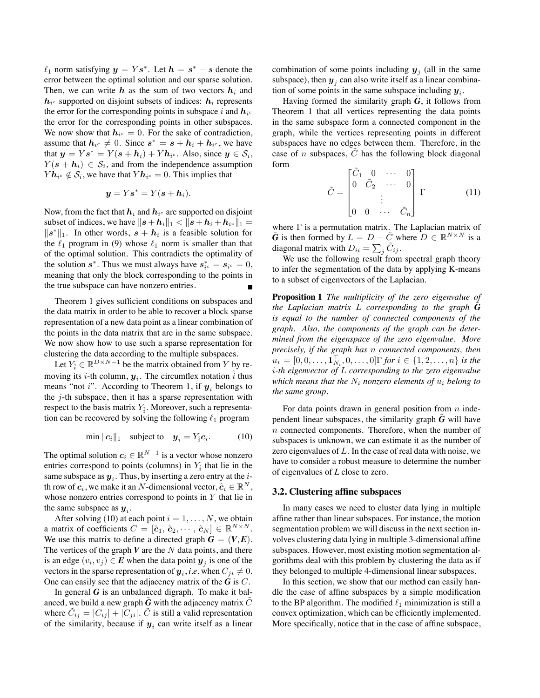$\ell_1$  norm satisfying  $y = Ys^*$ . Let  $h = s^* - s$  denote the error between the optimal solution and our sparse solution. Then, we can write  $h$  as the sum of two vectors  $h_i$  and  $h_i$ <sup>*c*</sup> supported on disjoint subsets of indices:  $h_i$  represents the error for the corresponding points in subspace *i* and  $h_i$ <sup>*c*</sup> the error for the corresponding points in other subspaces. We now show that  $h_{i^c} = 0$ . For the sake of contradiction, assume that  $h_{i^c} \neq 0$ . Since  $s^* = s + h_i + h_{i^c}$ , we have that  $y = Ys^* = Y(s + h_i) + Yh_i$ <sup>c</sup>. Also, since  $y \in S_i$ ,  $Y(s + h_i) \in S_i$ , and from the independence assumption  $Yh_{i^c} \notin \mathcal{S}_i$ , we have that  $Yh_{i^c} = 0$ . This implies that

$$
\mathbf{y} = Y\mathbf{s}^* = Y(\mathbf{s} + \mathbf{h}_i).
$$

Now, from the fact that  $h_i$  and  $h_i$ <sup>c</sup> are supported on disjoint subset of indices, we have  $||s + h_i||_1 < ||s + h_i + h_i||_1 =$  $||s^*||_1$ . In other words,  $s + h_i$  is a feasible solution for the  $\ell_1$  program in (9) whose  $\ell_1$  norm is smaller than that of the optimal solution. This contradicts the optimality of the solution  $s^*$ . Thus we must always have  $s_{i^c}^* = s_{i^c} = 0$ , meaning that only the block corresponding to the points in the true subspace can have nonzero entries.

Theorem 1 gives sufficient conditions on subspaces and the data matrix in order to be able to recover a block sparse representation of a new data point as a linear combination of the points in the data matrix that are in the same subspace. We now show how to use such a sparse representation for clustering the data according to the multiple subspaces.

Let  $Y_i \in \mathbb{R}^{D \times N-1}$  be the matrix obtained from *Y* by removing its *i*-th column,  $y_i$ . The circumflex notation *i* thus means "not *i*". According to Theorem 1, if  $y_i$  belongs to the *j*-th subspace, then it has a sparse representation with respect to the basis matrix  $Y_{\hat{i}}$ . Moreover, such a representation can be recovered by solving the following  $\ell_1$  program

$$
\min ||c_i||_1 \quad \text{subject to} \quad \mathbf{y}_i = Y_i c_i. \tag{10}
$$

The optimal solution  $c_i \in \mathbb{R}^{N-1}$  is a vector whose nonzero entries correspond to points (columns) in  $Y_{\hat{i}}$  that lie in the same subspace as *yi*. Thus, by inserting a zero entry at the *i*th row of  $c_i$ , we make it an *N*-dimensional vector,  $\hat{c}_i \in \mathbb{R}^N$ , whose nonzero entries correspond to points in *Y* that lie in the same subspace as *yi*.

After solving (10) at each point  $i = 1, \ldots, N$ , we obtain a matrix of coefficients  $C = [\hat{c}_1, \hat{c}_2, \dots, \hat{c}_N] \in \mathbb{R}^{N \times N}$ . We use this matrix to define a directed graph  $G = (V, E)$ . The vertices of the graph *V* are the *N* data points, and there is an edge  $(v_i, v_j) \in E$  when the data point  $y_j$  is one of the vectors in the sparse representation of  $y_i$ , *i.e.* when  $C_{ji} \neq 0$ . One can easily see that the adjacency matrix of the *G* is *C*.

In general *G* is an unbalanced digraph. To make it balanced, we build a new graph  $\tilde{G}$  with the adjacency matrix  $\tilde{C}$ where  $C_{ij} = |C_{ij}| + |C_{ji}|$ . *C* is still a valid representation of the similarity, because if  $y_i$  can write itself as a linear combination of some points including  $y_j$  (all in the same subspace), then  $y_j$  can also write itself as a linear combination of some points in the same subspace including *yi*.

Having formed the similarity graph  $\tilde{G}$ , it follows from Theorem 1 that all vertices representing the data points in the same subspace form a connected component in the graph, while the vertices representing points in different subspaces have no edges between them. Therefore, in the case of *n* subspaces, *C*˜ has the following block diagonal form

$$
\tilde{C} = \begin{bmatrix} \tilde{C}_1 & 0 & \cdots & 0 \\ 0 & \tilde{C}_2 & \cdots & 0 \\ \vdots & \vdots & \ddots & \vdots \\ 0 & 0 & \cdots & \tilde{C}_n \end{bmatrix} \Gamma \tag{11}
$$

where Γ is a permutation matrix. The Laplacian matrix of  $\tilde{G}$  is then formed by  $L = D - \tilde{C}$  where  $D \in \mathbb{R}^{N \times N}$  is a diagonal matrix with  $D_{ii} = \sum_j \tilde{C}_{ij}$ .

We use the following result from spectral graph theory to infer the segmentation of the data by applying K-means to a subset of eigenvectors of the Laplacian.

**Proposition 1** *The multiplicity of the zero eigenvalue of the Laplacian matrix L corresponding to the graph*  $G$ *is equal to the number of connected components of the graph. Also, the components of the graph can be determined from the eigenspace of the zero eigenvalue. More precisely, if the graph has n connected components, then*  $u_i = [0, 0, \dots, 1] \, N_i, 0, \dots, 0] \Gamma$  *for*  $i \in \{1, 2, \dots, n\}$  *is the i-th eigenvector of L corresponding to the zero eigenvalue which means that the N<sup>i</sup> nonzero elements of u<sup>i</sup> belong to the same group.*

For data points drawn in general position from *n* independent linear subspaces, the similarity graph  $G$  will have *n* connected components. Therefore, when the number of subspaces is unknown, we can estimate it as the number of zero eigenvalues of *L*. In the case of real data with noise, we have to consider a robust measure to determine the number of eigenvalues of *L* close to zero.

#### **3.2. Clustering affine subspaces**

In many cases we need to cluster data lying in multiple affine rather than linear subspaces. For instance, the motion segmentation problem we will discuss in the next section involves clustering data lying in multiple 3-dimensional affine subspaces. However, most existing motion segmentation algorithms deal with this problem by clustering the data as if they belonged to multiple 4-dimensional linear subspaces.

In this section, we show that our method can easily handle the case of affine subspaces by a simple modification to the BP algorithm. The modified  $\ell_1$  minimization is still a convex optimization, which can be efficiently implemented. More specifically, notice that in the case of affine subspace,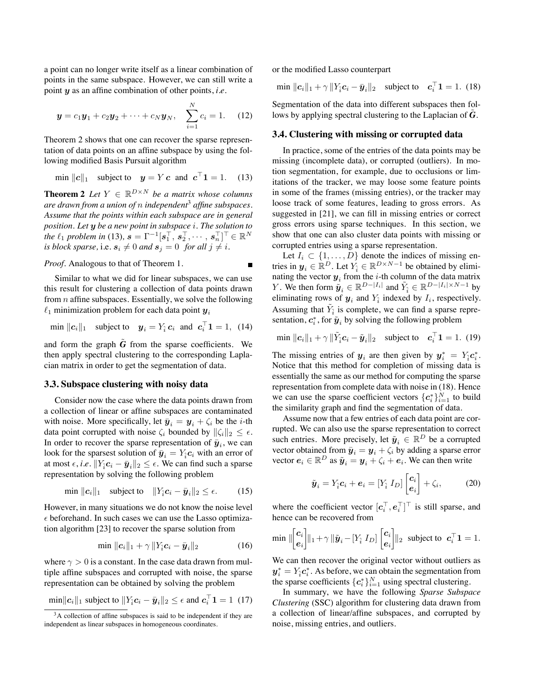a point can no longer write itself as a linear combination of points in the same subspace. However, we can still write a point *y* as an affine combination of other points, *i.e*.

$$
\mathbf{y} = c_1 \mathbf{y}_1 + c_2 \mathbf{y}_2 + \dots + c_N \mathbf{y}_N, \quad \sum_{i=1}^N c_i = 1. \quad (12)
$$

Theorem 2 shows that one can recover the sparse representation of data points on an affine subspace by using the following modified Basis Pursuit algorithm

$$
\min \|c\|_1 \quad \text{subject to} \quad y = Yc \text{ and } c^{\top}1 = 1. \tag{13}
$$

**Theorem 2** *Let*  $Y \in \mathbb{R}^{D \times N}$  *be a matrix whose columns are drawn from a union of n independent*<sup>3</sup> *affine subspaces. Assume that the points within each subspace are in general position. Let y be a new point in subspace i. The solution to the*  $\ell_1$  *problem in* (13),  $\mathbf{s} = \Gamma^{-1}[\mathbf{s}_1^\top, \mathbf{s}_2^\top, \cdots, \mathbf{s}_n^\top]^\top \in \mathbb{R}^N$ *is block sparse,* i.e.  $s_i \neq 0$  *and*  $s_j = 0$  *for all*  $j \neq i$ *.* 

*Proof.* Analogous to that of Theorem 1.

Similar to what we did for linear subspaces, we can use this result for clustering a collection of data points drawn from *n* affine subspaces. Essentially, we solve the following  $\ell_1$  minimization problem for each data point  $y_i$ 

Ē

min 
$$
||c_i||_1
$$
 subject to  $y_i = Y_i c_i$  and  $c_i^{\dagger} 1 = 1$ , (14)

and form the graph  $\tilde{G}$  from the sparse coefficients. We then apply spectral clustering to the corresponding Laplacian matrix in order to get the segmentation of data.

#### **3.3. Subspace clustering with noisy data**

Consider now the case where the data points drawn from a collection of linear or affine subspaces are contaminated with noise. More specifically, let  $\bar{y}_i = y_i + \zeta_i$  be the *i*-th data point corrupted with noise  $\zeta_i$  bounded by  $\|\zeta_i\|_2 \leq \epsilon$ . In order to recover the sparse representation of  $\bar{y}_i$ , we can look for the sparsest solution of  $\bar{y}_i = Y_i c_i$  with an error of at most  $\epsilon$ , *i.e.*  $||Y_i c_i - \bar{y}_i||_2 \leq \epsilon$ . We can find such a sparse representation by solving the following problem

$$
\min ||c_i||_1 \quad \text{subject to} \quad ||Y_i c_i - \bar{y}_i||_2 \le \epsilon. \tag{15}
$$

However, in many situations we do not know the noise level  $\epsilon$  beforehand. In such cases we can use the Lasso optimization algorithm [23] to recover the sparse solution from

$$
\min ||\boldsymbol{c}_i||_1 + \gamma ||Y_i \boldsymbol{c}_i - \bar{\boldsymbol{y}}_i||_2 \qquad (16)
$$

where  $\gamma > 0$  is a constant. In the case data drawn from multiple affine subspaces and corrupted with noise, the sparse representation can be obtained by solving the problem

$$
\min ||c_i||_1 \text{ subject to } ||Y_i c_i - \bar{y}_i||_2 \leq \epsilon \text{ and } c_i^{\top} 1 = 1 \tag{17}
$$

or the modified Lasso counterpart

$$
\min ||c_i||_1 + \gamma ||Y_i c_i - \bar{y}_i||_2 \quad \text{subject to} \quad c_i^\top \mathbf{1} = 1. \tag{18}
$$

Segmentation of the data into different subspaces then follows by applying spectral clustering to the Laplacian of  $\ddot{G}$ .

### **3.4. Clustering with missing or corrupted data**

In practice, some of the entries of the data points may be missing (incomplete data), or corrupted (outliers). In motion segmentation, for example, due to occlusions or limitations of the tracker, we may loose some feature points in some of the frames (missing entries), or the tracker may loose track of some features, leading to gross errors. As suggested in [21], we can fill in missing entries or correct gross errors using sparse techniques. In this section, we show that one can also cluster data points with missing or corrupted entries using a sparse representation.

Let  $I_i \subset \{1, \ldots, D\}$  denote the indices of missing entries in  $y_i \in \mathbb{R}^D$ . Let  $Y_i \in \mathbb{R}^{D \times N-1}$  be obtained by eliminating the vector  $y_i$  from the *i*-th column of the data matrix *Y*. We then form  $\tilde{y}_i \in \mathbb{R}^{D-|I_i|}$  and  $\tilde{Y}_i \in \mathbb{R}^{D-|I_i| \times N-1}$  by eliminating rows of  $y_i$  and  $Y_i$  indexed by  $I_i$ , respectively. Assuming that  $\tilde{Y}_\hat{i}$  is complete, we can find a sparse representation,  $c_i^*$ , for  $\tilde{y}_i$  by solving the following problem

$$
\min ||c_i||_1 + \gamma ||\tilde{Y}_i c_i - \tilde{y}_i||_2 \quad \text{subject to} \quad c_i^\top \mathbf{1} = 1. \tag{19}
$$

The missing entries of  $y_i$  are then given by  $y_i^* = Y_i c_i^*$ . Notice that this method for completion of missing data is essentially the same as our method for computing the sparse representation from complete data with noise in (18). Hence we can use the sparse coefficient vectors  ${c_i^*}_{i=1}^N$  to build the similarity graph and find the segmentation of data.

Assume now that a few entries of each data point are corrupted. We can also use the sparse representation to correct such entries. More precisely, let  $\tilde{\mathbf{y}}_i \in \mathbb{R}^D$  be a corrupted vector obtained from  $\bar{y}_i = y_i + \zeta_i$  by adding a sparse error vector  $e_i \in \mathbb{R}^D$  as  $\tilde{y}_i = y_i + \zeta_i + e_i$ . We can then write

$$
\tilde{\boldsymbol{y}}_i = Y_i \boldsymbol{c}_i + \boldsymbol{e}_i = \begin{bmatrix} Y_i & I_D \end{bmatrix} \begin{bmatrix} \boldsymbol{c}_i \\ \boldsymbol{e}_i \end{bmatrix} + \zeta_i, \tag{20}
$$

where the coefficient vector  $[c_i^{\dagger}, e_i^{\dagger}]^{\dagger}$  is still sparse, and hence can be recovered from

$$
\min \|\begin{bmatrix} \boldsymbol{c}_i \\ \boldsymbol{e}_i \end{bmatrix}\|_1 + \gamma \|\tilde{\boldsymbol{y}}_i - [Y_i \; I_D] \begin{bmatrix} \boldsymbol{c}_i \\ \boldsymbol{e}_i \end{bmatrix}\|_2 \text{ subject to } \boldsymbol{c}_i^\top \boldsymbol{1} = 1.
$$

We can then recover the original vector without outliers as  $y_i^* = Y_i c_i^*$ . As before, we can obtain the segmentation from the sparse coefficients  $\{c_i^*\}_{i=1}^N$  using spectral clustering.

In summary, we have the following *Sparse Subspace Clustering* (SSC) algorithm for clustering data drawn from a collection of linear/affine subspaces, and corrupted by noise, missing entries, and outliers.

<sup>&</sup>lt;sup>3</sup>A collection of affine subspaces is said to be independent if they are independent as linear subspaces in homogeneous coordinates.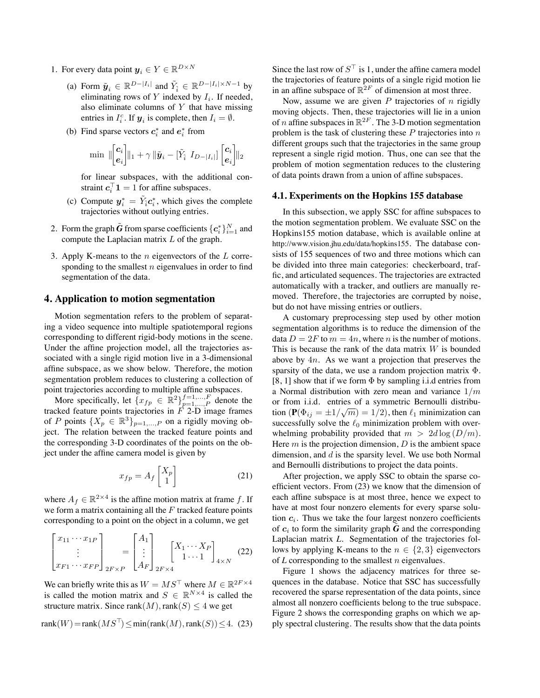- 1. For every data point  $y_i \in Y \in \mathbb{R}^{D \times N}$ 
	- (a) Form  $\tilde{\mathbf{y}}_i \in \mathbb{R}^{D-|I_i|}$  and  $\tilde{Y}_i \in \mathbb{R}^{D-|I_i| \times N-1}$  by eliminating rows of  $Y$  indexed by  $I_i$ . If needed, also eliminate columns of *Y* that have missing entries in  $I_i^c$ . If  $y_i$  is complete, then  $I_i = \emptyset$ .
	- (b) Find sparse vectors  $c_i^*$  and  $e_i^*$  from

$$
\min \; \| \begin{bmatrix} \boldsymbol{c}_i \\ \boldsymbol{e}_i \end{bmatrix} \|_1 + \gamma \, \| \tilde{\boldsymbol{y}}_i - [ \tilde{Y}_i \; \; I_{D-|I_i|}] \begin{bmatrix} \boldsymbol{c}_i \\ \boldsymbol{e}_i \end{bmatrix} \|_2
$$

for linear subspaces, with the additional constraint  $c_i^{\dagger}$  **1** = 1 for affine subspaces.

- (c) Compute  $y_i^* = \tilde{Y}_i^* c_i^*$ , which gives the complete trajectories without outlying entries.
- 2. Form the graph  $\tilde{G}$  from sparse coefficients  $\{c_i^*\}_{i=1}^N$  and compute the Laplacian matrix *L* of the graph.
- 3. Apply K-means to the *n* eigenvectors of the *L* corresponding to the smallest *n* eigenvalues in order to find segmentation of the data.

### **4. Application to motion segmentation**

Motion segmentation refers to the problem of separating a video sequence into multiple spatiotemporal regions corresponding to different rigid-body motions in the scene. Under the affine projection model, all the trajectories associated with a single rigid motion live in a 3-dimensional affine subspace, as we show below. Therefore, the motion segmentation problem reduces to clustering a collection of point trajectories according to multiple affine subspaces.

More specifically, let  ${x_{fp} \in \mathbb{R}^2}_{p=1,\dots,P}^{f=1,\dots,F}$  denote the tracked feature points trajectories in  $\overrightarrow{F}$  2-D image frames of *P* points  $\{X_p \in \mathbb{R}^3\}_{p=1,\dots,P}$  on a rigidly moving object. The relation between the tracked feature points and the corresponding 3-D coordinates of the points on the object under the affine camera model is given by

$$
x_{fp} = A_f \begin{bmatrix} X_p \\ 1 \end{bmatrix} \tag{21}
$$

where  $A_f \in \mathbb{R}^{2 \times 4}$  is the affine motion matrix at frame *f*. If we form a matrix containing all the *F* tracked feature points corresponding to a point on the object in a column, we get

 $\overline{a}$ 

$$
\begin{bmatrix} x_{11} \cdots x_{1P} \\ \vdots \\ x_{F1} \cdots x_{FP} \end{bmatrix}_{2F \times P} = \begin{bmatrix} A_1 \\ \vdots \\ A_F \end{bmatrix}_{2F \times 4} \begin{bmatrix} X_1 \cdots X_P \\ 1 \cdots 1 \end{bmatrix}_{4 \times N}
$$
 (22)

We can briefly write this as  $W = MS^{\top}$  where  $M \in \mathbb{R}^{2F \times 4}$ is called the motion matrix and  $S \in \mathbb{R}^{N \times 4}$  is called the structure matrix. Since rank $(M)$ , rank $(S) \leq 4$  we get

$$
rank(W) = rank(MS^{\perp}) \le min(rank(M), rank(S)) \le 4. (23)
$$

Since the last row of  $S<sup>T</sup>$  is 1, under the affine camera model the trajectories of feature points of a single rigid motion lie in an affine subspace of  $\mathbb{R}^{2F}$  of dimension at most three.

Now, assume we are given *P* trajectories of *n* rigidly moving objects. Then, these trajectories will lie in a union of *n* affine subspaces in  $\mathbb{R}^{2F}$ . The 3-D motion segmentation problem is the task of clustering these *P* trajectories into *n* different groups such that the trajectories in the same group represent a single rigid motion. Thus, one can see that the problem of motion segmentation reduces to the clustering of data points drawn from a union of affine subspaces.

#### **4.1. Experiments on the Hopkins 155 database**

In this subsection, we apply SSC for affine subspaces to the motion segmentation problem. We evaluate SSC on the Hopkins155 motion database, which is available online at http://www.vision.jhu.edu/data/hopkins155. The database consists of 155 sequences of two and three motions which can be divided into three main categories: checkerboard, traffic, and articulated sequences. The trajectories are extracted automatically with a tracker, and outliers are manually removed. Therefore, the trajectories are corrupted by noise, but do not have missing entries or outliers.

A customary preprocessing step used by other motion segmentation algorithms is to reduce the dimension of the data  $D = 2F$  to  $m = 4n$ , where *n* is the number of motions. This is because the rank of the data matrix *W* is bounded above by 4*n*. As we want a projection that preserves the sparsity of the data, we use a random projection matrix Φ.  $[8, 1]$  show that if we form  $\Phi$  by sampling i.i.d entries from a Normal distribution with zero mean and variance 1*/m* or from i.i.d. entries of a symmetric Bernoulli distribution (**P**( $\Phi_{ij} = \pm 1/\sqrt{m}$ ) = 1/2), then  $\ell_1$  minimization can successfully solve the  $\ell_0$  minimization problem with overwhelming probability provided that  $m > 2d \log(D/m)$ . Here *m* is the projection dimension, *D* is the ambient space dimension, and *d* is the sparsity level. We use both Normal and Bernoulli distributions to project the data points.

After projection, we apply SSC to obtain the sparse coefficient vectors. From (23) we know that the dimension of each affine subspace is at most three, hence we expect to have at most four nonzero elements for every sparse solution  $c_i$ . Thus we take the four largest nonzero coefficients of  $c_i$  to form the similarity graph  $\tilde{G}$  and the corresponding Laplacian matrix *L*. Segmentation of the trajectories follows by applying K-means to the  $n \in \{2,3\}$  eigenvectors of *L* corresponding to the smallest *n* eigenvalues.

Figure 1 shows the adjacency matrices for three sequences in the database. Notice that SSC has successfully recovered the sparse representation of the data points, since almost all nonzero coefficients belong to the true subspace. Figure 2 shows the corresponding graphs on which we apply spectral clustering. The results show that the data points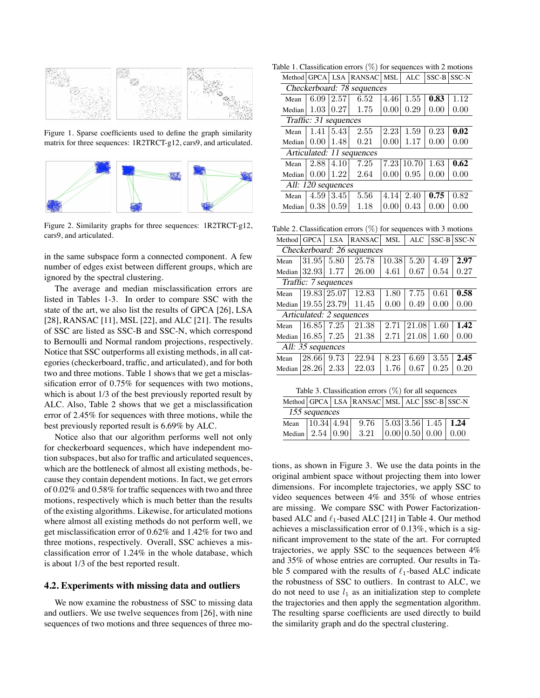

Figure 1. Sparse coefficients used to define the graph similarity matrix for three sequences: 1R2TRCT-g12, cars9, and articulated.



Figure 2. Similarity graphs for three sequences: 1R2TRCT-g12, cars9, and articulated.

in the same subspace form a connected component. A few number of edges exist between different groups, which are ignored by the spectral clustering.

The average and median misclassification errors are listed in Tables 1-3. In order to compare SSC with the state of the art, we also list the results of GPCA [26], LSA [28], RANSAC [11], MSL [22], and ALC [21]. The results of SSC are listed as SSC-B and SSC-N, which correspond to Bernoulli and Normal random projections, respectively. Notice that SSC outperforms all existing methods, in all categories (checkerboard, traffic, and articulated), and for both two and three motions. Table 1 shows that we get a misclassification error of 0.75% for sequences with two motions, which is about  $1/3$  of the best previously reported result by ALC. Also, Table 2 shows that we get a misclassification error of 2.45% for sequences with three motions, while the best previously reported result is 6.69% by ALC.

Notice also that our algorithm performs well not only for checkerboard sequences, which have independent motion subspaces, but also for traffic and articulated sequences, which are the bottleneck of almost all existing methods, because they contain dependent motions. In fact, we get errors of 0.02% and 0.58% for traffic sequences with two and three motions, respectively which is much better than the results of the existing algorithms. Likewise, for articulated motions where almost all existing methods do not perform well, we get misclassification error of 0.62% and 1.42% for two and three motions, respectively. Overall, SSC achieves a misclassification error of 1.24% in the whole database, which is about 1/3 of the best reported result.

#### **4.2. Experiments with missing data and outliers**

We now examine the robustness of SSC to missing data and outliers. We use twelve sequences from [26], with nine sequences of two motions and three sequences of three mo-

Table 1. Classification errors  $(\%)$  for sequences with 2 motions  $Method$  GPCA LISA RANSAC MSL ALC SSC-B SSC-N

| www.                       | $\cup$ $\cup$ $\cup$  | <b>LUI</b> | <u>IVITION</u> | TATAT | $\overline{\phantom{a}}$ | ⊍ບພ  | <b>DDC-11</b> |  |
|----------------------------|-----------------------|------------|----------------|-------|--------------------------|------|---------------|--|
| Checkerboard: 78 sequences |                       |            |                |       |                          |      |               |  |
| Mean                       | 6.09                  | 2.57       | 6.52           | 4.46  | 1.55                     | 0.83 | 1.12          |  |
| Median                     | 1.03                  | 0.27       | 1.75           | 0.00  | 0.29                     | 0.00 | 0.00          |  |
|                            | Traffic: 31 sequences |            |                |       |                          |      |               |  |
| Mean                       | 1.41                  | 5.43       | 2.55           | 2.23  | 1.59                     | 0.23 | 0.02          |  |
| Median                     | 0.00                  | 1.48       | 0.21           | 0.00  | 1.17                     | 0.00 | 0.00          |  |
| Articulated: 11 sequences  |                       |            |                |       |                          |      |               |  |
| Mean                       | 2.88                  | 4.10       | 7.25           | 7.23  | 10.70                    | 1.63 | 0.62          |  |
| Median                     | 0.00                  | 1.22       | 2.64           | 0.00  | 0.95                     | 0.00 | 0.00          |  |
| All: 120 sequences         |                       |            |                |       |                          |      |               |  |
| Mean                       | 4.59                  | 3.45       | 5.56           | 4.14  | 2.40                     | 0.75 | 0.82          |  |
| Median                     | 0.38                  | 0.59       | 1.18           | 0.00  | 0.43                     | 0.00 | 0.00          |  |

Table 2. Classification errors  $(\%)$  for sequences with 3 motions Method GPCA LSA RANSAC MSL  $ALC$  SSC-B SSC-N

| Checkerboard: 26 sequences |                      |                   |       |       |       |      |      |  |
|----------------------------|----------------------|-------------------|-------|-------|-------|------|------|--|
| Mean                       | 31.95                | 5.80              | 25.78 | 10.38 | 5.20  | 4.49 | 2.97 |  |
| Median                     | 32.93                | 1.77              | 26.00 | 4.61  | 0.67  | 0.54 | 0.27 |  |
|                            | Traffic: 7 sequences |                   |       |       |       |      |      |  |
| Mean                       |                      | 19.83 25.07       | 12.83 | 1.80  | 7.75  | 0.61 | 0.58 |  |
| Median                     |                      | 19.55 23.79       | 11.45 | 0.00  | 0.49  | 0.00 | 0.00 |  |
| Articulated: 2 sequences   |                      |                   |       |       |       |      |      |  |
| Mean                       | 16.85                | $\overline{7.25}$ | 21.38 | 2.71  | 21.08 | 1.60 | 1.42 |  |
| Median                     | 16.85                | 7.25              | 21.38 | 2.71  | 21.08 | 1.60 | 0.00 |  |
| All: 35 sequences          |                      |                   |       |       |       |      |      |  |
| Mean                       | 28.66                | 9.73              | 22.94 | 8.23  | 6.69  | 3.55 | 2.45 |  |
| Median                     | 28.26                | 2.33              | 22.03 | 1.76  | 0.67  | 0.25 | 0.20 |  |
|                            |                      |                   |       |       |       |      |      |  |

| Table 3. Classification errors $(\%)$ for all sequences |  |  |                                                          |  |  |  |  |
|---------------------------------------------------------|--|--|----------------------------------------------------------|--|--|--|--|
|                                                         |  |  | Method   GPCA   LSA   RANSAC   MSL   ALC   SSC-B   SSC-N |  |  |  |  |
| 155 sequences                                           |  |  |                                                          |  |  |  |  |

| Mean $ 10.34 4.94 $ 9.76 $ 5.03 3.56 1.45 1.24$  |  |  |
|--------------------------------------------------|--|--|
|                                                  |  |  |
| Median 2.54 $ 0.90 $ 3.21 $ 0.00 0.50 0.00 0.00$ |  |  |

tions, as shown in Figure 3. We use the data points in the original ambient space without projecting them into lower dimensions. For incomplete trajectories, we apply SSC to video sequences between 4% and 35% of whose entries are missing. We compare SSC with Power Factorizationbased ALC and  $\ell_1$ -based ALC [21] in Table 4. Our method achieves a misclassification error of 0.13%, which is a significant improvement to the state of the art. For corrupted trajectories, we apply SSC to the sequences between 4% and 35% of whose entries are corrupted. Our results in Table 5 compared with the results of  $\ell_1$ -based ALC indicate the robustness of SSC to outliers. In contrast to ALC, we do not need to use  $l_1$  as an initialization step to complete the trajectories and then apply the segmentation algorithm. The resulting sparse coefficients are used directly to build the similarity graph and do the spectral clustering.